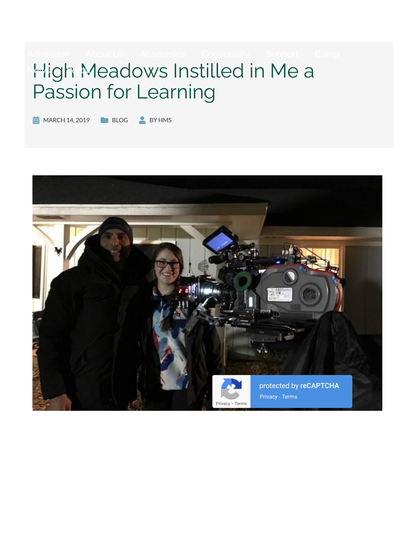# **High Meadows Instilled in Me a** Passion for Learning

 $\frac{1}{2}$  MARCH 14, 2019 BLOG BY HMS

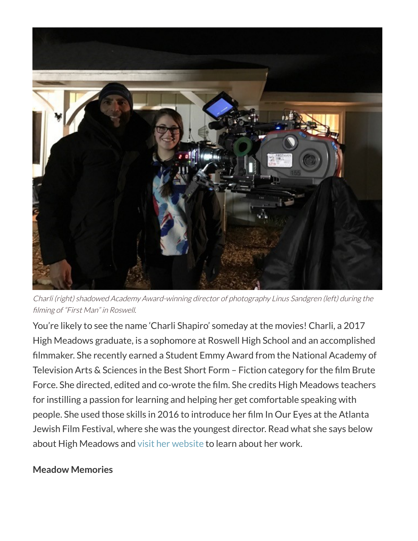

Charli (right) shadowed Academy Award-winning director of photography Linus Sandgren (left) during the filming of "First Man" in Roswell.

You're likely to see the name 'Charli Shapiro' someday at the movies! Charli, a 2017 High Meadows graduate, is a sophomore at Roswell High School and an accomplished filmmaker. She recently earned a Student Emmy Award from the National Academy of Television Arts & Sciences in the Best Short Form – Fiction category for the film Brute Force. She directed, edited and co-wrote the film. She credits High Meadows teachers for instilling a passion for learning and helping her get comfortable speaking with people. She used those skills in 2016 to introduce her film In Our Eyes at the Atlanta Jewish Film Festival, where she was the youngest director. Read what she says below about High Meadows and visit her website to learn about her work.

#### **Meadow Memories**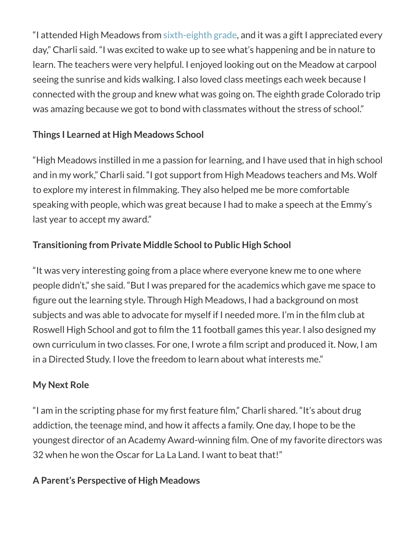"I attended High Meadows from sixth-eighth grade, and it was a gift I appreciated every day," Charli said. "I was excited to wake up to see what's happening and be in nature to learn. The teachers were very helpful. I enjoyed looking out on the Meadow at carpool seeing the sunrise and kids walking. I also loved class meetings each week because I connected with the group and knew what was going on. The eighth grade Colorado trip was amazing because we got to bond with classmates without the stress of school."

## **Things I Learned at High Meadows School**

"High Meadows instilled in me a passion for learning, and I have used that in high school and in my work," Charli said. "I got support from High Meadows teachers and Ms. Wolf to explore my interest in filmmaking. They also helped me be more comfortable speaking with people, which was great because I had to make a speech at the Emmy's last year to accept my award."

# **Transitioning from Private Middle School to Public High School**

"It was very interesting going from a place where everyone knew me to one where people didn't," she said. "But I was prepared for the academics which gave me space to figure out the learning style. Through High Meadows, I had a background on most subjects and was able to advocate for myself if I needed more. I'm in the film club at Roswell High School and got to film the 11 football games this year. I also designed my own curriculum in two classes. For one, I wrote a film script and produced it. Now, I am in a Directed Study. I love the freedom to learn about what interests me."

### **My Next Role**

"I am in the scripting phase for my first feature film," Charli shared. "It's about drug addiction, the teenage mind, and how it affects a family. One day, I hope to be the youngest director of an Academy Award-winning film. One of my favorite directors was 32 when he won the Oscar for La La Land. I want to beat that!"

# **A Parent's Perspective of High Meadows**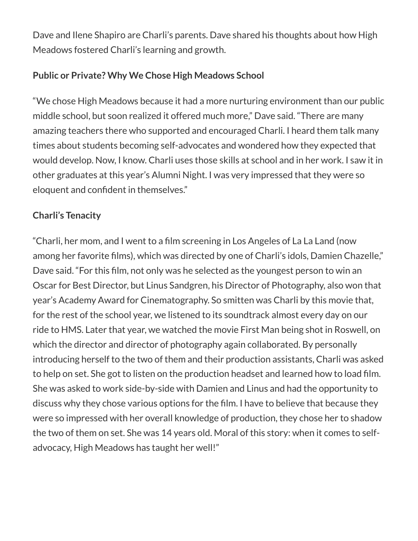Dave and Ilene Shapiro are Charli's parents. Dave shared his thoughts about how High Meadows fostered Charli's learning and growth.

#### **Public or Private? Why We Chose High Meadows School**

"We chose High Meadows because it had a more nurturing environment than our public middle school, but soon realized it offered much more," Dave said. "There are many amazing teachers there who supported and encouraged Charli. I heard them talk many times about students becoming self-advocates and wondered how they expected that would develop. Now, I know. Charli uses those skills at school and in her work. I saw it in other graduates at this year's Alumni Night. I was very impressed that they were so eloquent and confident in themselves."

#### **Charli's Tenacity**

"Charli, her mom, and I went to a film screening in Los Angeles of La La Land (now among her favorite films), which was directed by one of Charli's idols, Damien Chazelle," Dave said. "For this film, not only was he selected as the youngest person to win an Oscar for Best Director, but Linus Sandgren, his Director of Photography, also won that year's Academy Award for Cinematography. So smitten was Charli by this movie that, for the rest of the school year, we listened to its soundtrack almost every day on our ride to HMS. Later that year, we watched the movie First Man being shot in Roswell, on which the director and director of photography again collaborated. By personally introducing herself to the two of them and their production assistants, Charli was asked to help on set. She got to listen on the production headset and learned how to load film. She was asked to work side-by-side with Damien and Linus and had the opportunity to discuss why they chose various options for the film. I have to believe that because they were so impressed with her overall knowledge of production, they chose her to shadow the two of them on set. She was 14 years old. Moral of this story: when it comes to selfadvocacy, High Meadows has taught her well!"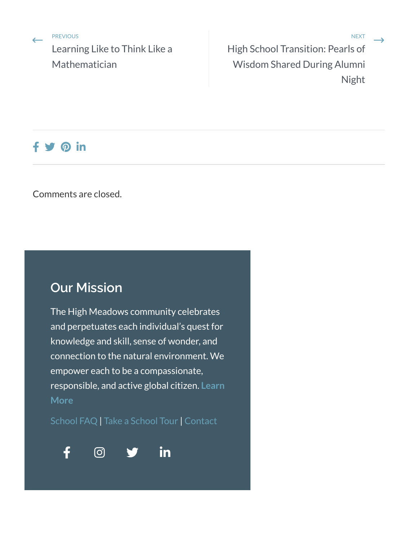PREVIOUS

Learning Like to Think Like a Mathematician

end the previous wext and the property of the contract of the contract of the contract of the contract of the contract of the contract of the contract of the contract of the contract of the contract of the contract of the High School Transition: Pearls of Wisdom Shared During Alumni Night

## $f \circledast \circledast$  in

Comments are closed.

# **Our Mission**

The High Meadows community celebrates and perpetuates each individual's quest for knowledge and skill, sense of wonder, and connection to the natural environment. We empower each to be a compassionate, responsible, and active global citizen. **Learn More**

School FAQ | Take a School Tour | Contact





 $\rightarrow$